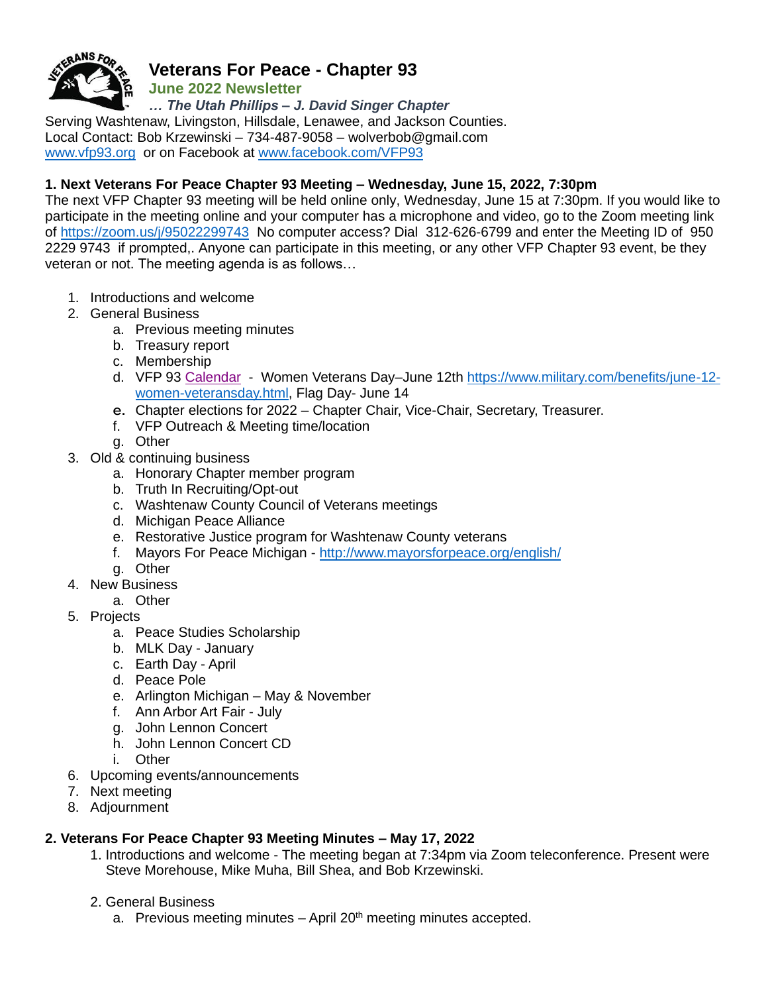

# **Veterans For Peace - Chapter 93**

**June 2022 Newsletter**

*… The Utah Phillips – J. David Singer Chapter*

Serving Washtenaw, Livingston, Hillsdale, Lenawee, and Jackson Counties. Local Contact: Bob Krzewinski – 734-487-9058 – [wolverbob@gmail.com](mailto:wolverbob@gmail.com)  [www.vfp93.org](http://www.vfp93.org/) or on Facebook at [www.facebook.com/VFP93](http://www.facebook.com/VFP93) 

# **1. Next Veterans For Peace Chapter 93 Meeting – Wednesday, June 15, 2022, 7:30pm**

The next VFP Chapter 93 meeting will be held online only, Wednesday, June 15 at 7:30pm. If you would like to participate in the meeting online and your computer has a microphone and video, go to the Zoom meeting link of <https://zoom.us/j/95022299743>No computer access? Dial 312-626-6799 and enter the Meeting ID of 950 2229 9743 if prompted,. Anyone can participate in this meeting, or any other VFP Chapter 93 event, be they veteran or not. The meeting agenda is as follows…

- 1. Introductions and welcome
- 2. General Business
	- a. Previous meeting minutes
	- b. Treasury report
	- c. Membership
	- d. VFP 93 [Calendar](https://dce38e56-2493-4b39-b71f-8709e753bd00.filesusr.com/ugd/50be72_0458e100084c447da1f3a749c5672a52.pdf)  Women Veterans Day–June 12th [https://www.military.com/benefits/june-12](https://www.military.com/benefits/june-12-women-veteransday.html) [women-veteransday.html,](https://www.military.com/benefits/june-12-women-veteransday.html) Flag Day- June 14
	- e. Chapter elections for 2022 Chapter Chair, Vice-Chair, Secretary, Treasurer.
	- f. VFP Outreach & Meeting time/location
	- g. Other
- 3. Old & continuing business
	- a. Honorary Chapter member program
	- b. Truth In Recruiting/Opt-out
	- c. Washtenaw County Council of Veterans meetings
	- d. Michigan Peace Alliance
	- e. Restorative Justice program for Washtenaw County veterans
	- f. Mayors For Peace Michigan <http://www.mayorsforpeace.org/english/>
	- g. Other
- 4. New Business
	- a. Other
- 5. Projects
	- a. Peace Studies Scholarship
	- b. MLK Day January
	- c. Earth Day April
	- d. Peace Pole
	- e. Arlington Michigan May & November
	- f. Ann Arbor Art Fair July
	- g. John Lennon Concert
	- h. John Lennon Concert CD
	- i. Other
- 6. Upcoming events/announcements
- 7. Next meeting
- 8. Adjournment

# **2. Veterans For Peace Chapter 93 Meeting Minutes – May 17, 2022**

- 1. Introductions and welcome The meeting began at 7:34pm via Zoom teleconference. Present were Steve Morehouse, Mike Muha, Bill Shea, and Bob Krzewinski.
- 2. General Business
	- a. Previous meeting minutes  $-$  April 20<sup>th</sup> meeting minutes accepted.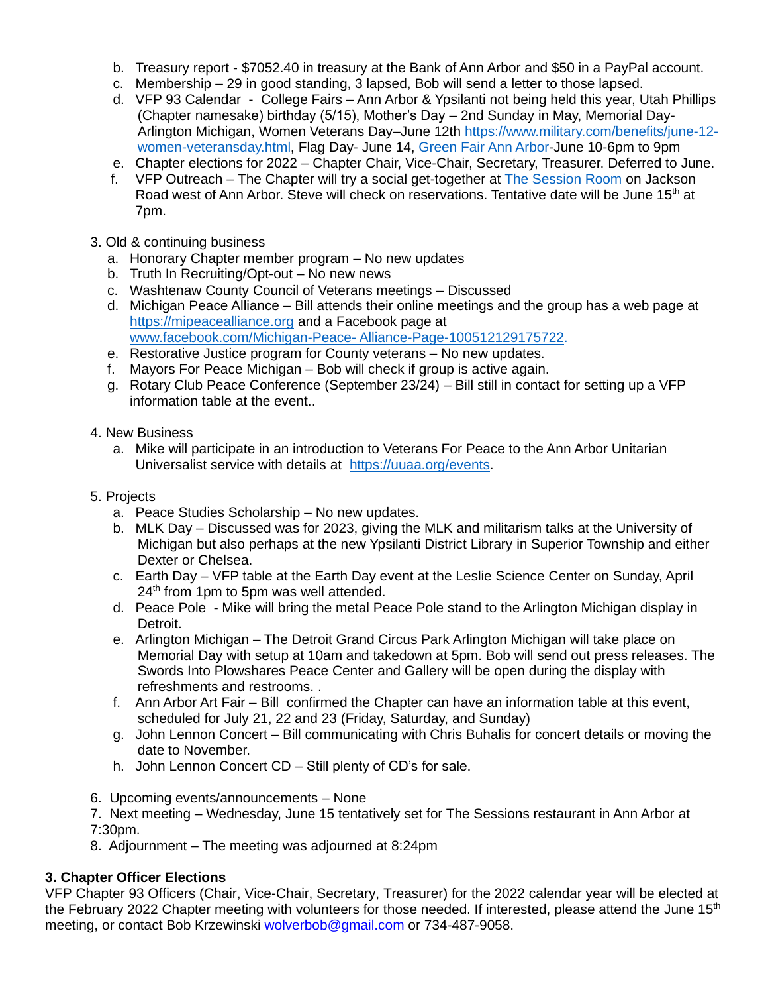- b. Treasury report \$7052.40 in treasury at the Bank of Ann Arbor and \$50 in a PayPal account.
- c. Membership 29 in good standing, 3 lapsed, Bob will send a letter to those lapsed.
- d. VFP 93 Calendar College Fairs Ann Arbor & Ypsilanti not being held this year, Utah Phillips (Chapter namesake) birthday (5/15), Mother's Day – 2nd Sunday in May, Memorial Day-Arlington Michigan, Women Veterans Day–June 12th [https://www.military.com/benefits/june-12](https://www.military.com/benefits/june-12-women-veteransday.html) [women-veteransday.html,](https://www.military.com/benefits/june-12-women-veteransday.html) Flag Day- June 14, [Green Fair Ann Arbor-](https://www.a2gov.org/departments/sustainability/Newsletter-Events/Pages/Green-Fair.aspx)June 10-6pm to 9pm
- e. Chapter elections for 2022 Chapter Chair, Vice-Chair, Secretary, Treasurer. Deferred to June.
- f. VFP Outreach The Chapter will try a social get-together at [The Session Room](https://www.sessionrooma2.com/) on Jackson Road west of Ann Arbor. Steve will check on reservations. Tentative date will be June 15<sup>th</sup> at 7pm.
- 3. Old & continuing business
	- a. Honorary Chapter member program No new updates
	- b. Truth In Recruiting/Opt-out No new news
	- c. Washtenaw County Council of Veterans meetings Discussed
	- d. Michigan Peace Alliance Bill attends their online meetings and the group has a web page at [https://mipeacealliance.org](https://mipeacealliance.org/) and a Facebook page at [www.facebook.com/Michigan-Peace-](http://www.facebook.com/Michigan-Peace-%20Alliance-Page-100512129175722) Alliance-Page-100512129175722.
	- e. Restorative Justice program for County veterans No new updates.
	- f. Mayors For Peace Michigan Bob will check if group is active again.
	- g. Rotary Club Peace Conference (September 23/24) Bill still in contact for setting up a VFP information table at the event..
- 4. New Business
	- a. Mike will participate in an introduction to Veterans For Peace to the Ann Arbor Unitarian Universalist service with details at [https://uuaa.org/events.](https://uuaa.org/events)
- 5. Projects
	- a. Peace Studies Scholarship No new updates.
	- b. MLK Day Discussed was for 2023, giving the MLK and militarism talks at the University of Michigan but also perhaps at the new Ypsilanti District Library in Superior Township and either Dexter or Chelsea.
	- c. Earth Day VFP table at the Earth Day event at the Leslie Science Center on Sunday, April 24<sup>th</sup> from 1pm to 5pm was well attended.
	- d. Peace Pole Mike will bring the metal Peace Pole stand to the Arlington Michigan display in Detroit.
	- e. Arlington Michigan The Detroit Grand Circus Park Arlington Michigan will take place on Memorial Day with setup at 10am and takedown at 5pm. Bob will send out press releases. The Swords Into Plowshares Peace Center and Gallery will be open during the display with refreshments and restrooms. .
	- f. Ann Arbor Art Fair Bill confirmed the Chapter can have an information table at this event, scheduled for July 21, 22 and 23 (Friday, Saturday, and Sunday)
	- g. John Lennon Concert Bill communicating with Chris Buhalis for concert details or moving the date to November.
	- h. John Lennon Concert CD Still plenty of CD's for sale.
- 6. Upcoming events/announcements None

7. Next meeting – Wednesday, June 15 tentatively set for The Sessions restaurant in Ann Arbor at 7:30pm.

8. Adjournment – The meeting was adjourned at 8:24pm

# **3. Chapter Officer Elections**

VFP Chapter 93 Officers (Chair, Vice-Chair, Secretary, Treasurer) for the 2022 calendar year will be elected at the February 2022 Chapter meeting with volunteers for those needed. If interested, please attend the June 15<sup>th</sup> meeting, or contact Bob Krzewinski [wolverbob@gmail.com](mailto:wolverbob@gmail.com) or 734-487-9058.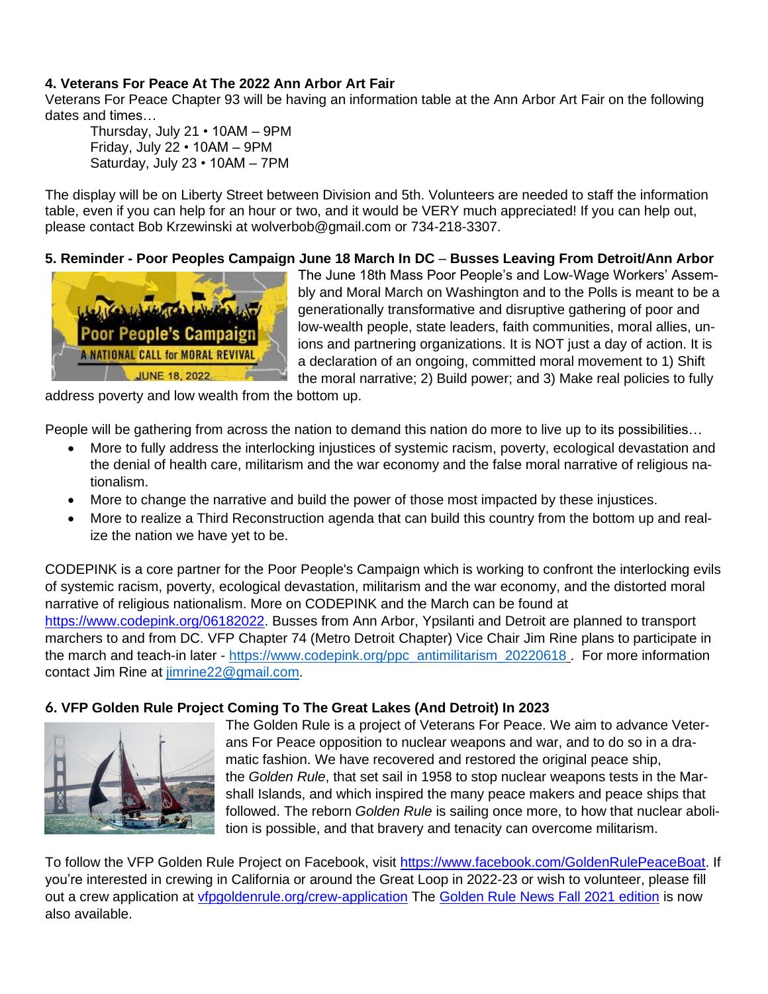# **4. Veterans For Peace At The 2022 Ann Arbor Art Fair**

Veterans For Peace Chapter 93 will be having an information table at the Ann Arbor Art Fair on the following dates and times…

Thursday, July 21 • 10AM – 9PM Friday, July 22 • 10AM – 9PM Saturday, July 23 • 10AM – 7PM

The display will be on Liberty Street between Division and 5th. Volunteers are needed to staff the information table, even if you can help for an hour or two, and it would be VERY much appreciated! If you can help out, please contact Bob Krzewinski at wolverbob@gmail.com or 734-218-3307.

#### **5. Reminder - Poor Peoples Campaign June 18 March In DC** – **Busses Leaving From Detroit/Ann Arbor**



The June 18th Mass Poor People's and Low-Wage Workers' Assembly and Moral March on Washington and to the Polls is meant to be a generationally transformative and disruptive gathering of poor and low-wealth people, state leaders, faith communities, moral allies, unions and partnering organizations. It is NOT just a day of action. It is a declaration of an ongoing, committed moral movement to 1) Shift the moral narrative; 2) Build power; and 3) Make real policies to fully

address poverty and low wealth from the bottom up.

People will be gathering from across the nation to demand this nation do more to live up to its possibilities…

- More to fully address the interlocking injustices of systemic racism, poverty, ecological devastation and the denial of health care, militarism and the war economy and the false moral narrative of religious nationalism.
- More to change the narrative and build the power of those most impacted by these injustices.
- More to realize a Third Reconstruction agenda that can build this country from the bottom up and realize the nation we have yet to be.

CODEPINK is a core partner for the Poor People's Campaign which is working to confront the interlocking evils of systemic racism, poverty, ecological devastation, militarism and the war economy, and the distorted moral narrative of religious nationalism. More on CODEPINK and the March can be found at [https://www.codepink.org/06182022.](https://www.codepink.org/06182022) Busses from Ann Arbor, Ypsilanti and Detroit are planned to transport marchers to and from DC. VFP Chapter 74 (Metro Detroit Chapter) Vice Chair Jim Rine plans to participate in the march and teach-in later - [https://www.codepink.org/ppc\\_antimilitarism\\_20220618](https://www.codepink.org/ppc_antimilitarism_20220618) . For more information contact Jim Rine at [jimrine22@gmail.com.](mailto:jimrine22@gmail.com)

#### **6. VFP Golden Rule Project Coming To The Great Lakes (And Detroit) In 2023**



The Golden Rule is a project of Veterans For Peace. We aim to advance Veterans For Peace opposition to nuclear weapons and war, and to do so in a dramatic fashion. We have recovered and restored the original peace ship, the *Golden Rule*, that set sail in 1958 to stop nuclear weapons tests in the Marshall Islands, and which inspired the many peace makers and peace ships that followed. The reborn *Golden Rule* is sailing once more, to how that nuclear abolition is possible, and that bravery and tenacity can overcome militarism.

To follow the VFP Golden Rule Project on Facebook, visit [https://www.facebook.com/GoldenRulePeaceBoat.](https://www.facebook.com/GoldenRulePeaceBoat) If you're interested in crewing in California or around the Great Loop in 2022-23 or wish to volunteer, please fill out a crew application at *[vfpgoldenrule.org/crew-application](http://www.vfpgoldenrule.org/crew-application)* The [Golden Rule News Fall 2021 edition](http://www.vfpgoldenruleproject.org/wp-content/uploads/2021/11/Golden-Rule-News-Fall-2021-4-page.pdf) is now also available.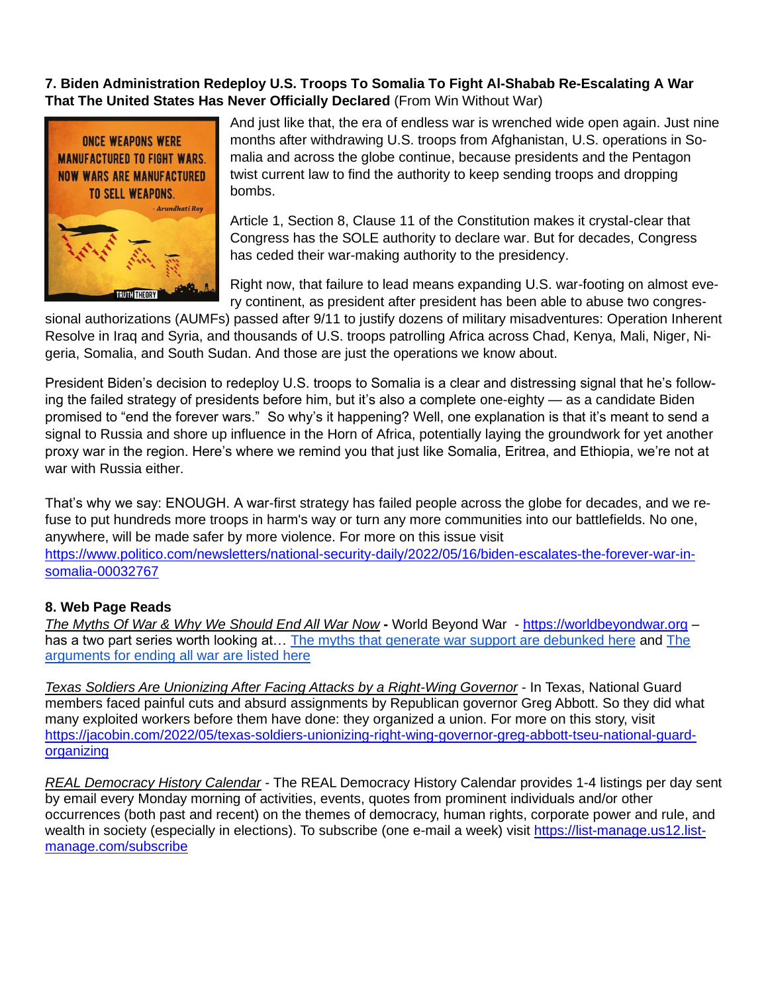# **7. Biden Administration Redeploy U.S. Troops To Somalia To Fight Al-Shabab Re-Escalating A War That The United States Has Never Officially Declared** (From Win Without War)



And just like that, the era of endless war is wrenched wide open again. Just nine months after withdrawing U.S. troops from Afghanistan, U.S. operations in Somalia and across the globe continue, because presidents and the Pentagon twist current law to find the authority to keep sending troops and dropping bombs.

Article 1, Section 8, Clause 11 of the Constitution makes it crystal-clear that Congress has the SOLE authority to declare war. But for decades, Congress has ceded their war-making authority to the presidency.

Right now, that failure to lead means expanding U.S. war-footing on almost every continent, as president after president has been able to abuse two congres-

sional authorizations (AUMFs) passed after 9/11 to justify dozens of military misadventures: Operation Inherent Resolve in Iraq and Syria, and thousands of U.S. troops patrolling Africa across Chad, Kenya, Mali, Niger, Nigeria, Somalia, and South Sudan. And those are just the operations we know about.

President Biden's decision to redeploy U.S. troops to Somalia is a clear and distressing signal that he's following the failed strategy of presidents before him, but it's also a complete one-eighty — as a candidate Biden promised to "end the forever wars." So why's it happening? Well, one explanation is that it's meant to send a signal to Russia and shore up influence in the Horn of Africa, potentially laying the groundwork for yet another proxy war in the region. Here's where we remind you that just like Somalia, Eritrea, and Ethiopia, we're not at war with Russia either.

That's why we say: ENOUGH. A war-first strategy has failed people across the globe for decades, and we refuse to put hundreds more troops in harm's way or turn any more communities into our battlefields. No one, anywhere, will be made safer by more violence. For more on this issue visit [https://www.politico.com/newsletters/national-security-daily/2022/05/16/biden-escalates-the-forever-war-in](https://www.politico.com/newsletters/national-security-daily/2022/05/16/biden-escalates-the-forever-war-in-somalia-00032767)[somalia-00032767](https://www.politico.com/newsletters/national-security-daily/2022/05/16/biden-escalates-the-forever-war-in-somalia-00032767)

#### **8. Web Page Reads**

*The Myths Of War & Why We Should End All War Now* **-** World Beyond War - [https://worldbeyondwar.org](https://worldbeyondwar.org/) – has a two part series worth looking at... [The myths that generate war support are debunked here](https://click.actionnetwork.org/ss/c/atcYNHk4Eh2YdGnwBh-YDG7XrsA8qChq4YmTGY3gl8emwef0i1fcD-sb28DWADJc04071eiW6_0VAcH-iHel0AaV2TP8w4PrxLUh2ZqokPrv69NeiIj75JNuf7oGFyTyu3ZVghYZnrilyKgwcdeqyZ01iDhE0K48rf38-byKpJjyUFoQEqXjopgQ8K2pr3-CWh8WxEtg3vsr_W-OgkCTJQaJlZbtTGsN0WPxXIcSMp9rVp__S8o2tpMVNpwdD4ruffdQonSkjJDgU1yijqd9SdscxTSvAUGVEP7bklGM1c_1T5KSIDfkFasCg_g-2rdf/3mo/Xy2qTxjcQZmfxRqRGaR3dw/h0/6v8gCo87PMbdQ1lzkL1-GxPfaiLmCYR-uAgGWqxAME0) and The [arguments for ending all war are listed here](https://click.actionnetwork.org/ss/c/atcYNHk4Eh2YdGnwBh-YDG7XrsA8qChq4YmTGY3gl8dYuf10Higj8TiBL-jCHAyWi4EcdrEZS1MHWfC3ltMkTuFOUIpD8eZAicerIbzBtsEMKiMTPRyTCdnh8SZyQBK5LAD1RAVBr7fchDxEksJkDe-hD0JbIagPljZBwReHIPuxQFGyoZLHe3dHzttlCzpk18-zSWayp3SkEk_Erb6BkGyrkM2hF8D5AgLvdbDagicg-z_TEpBFf2iylSHjLZaY2C1tLVEpi-AHLIdVFN0rAjeuEhzTHveXgeeFsLlYwoJPm0b30E9oXPUALG5qRrm4/3mo/Xy2qTxjcQZmfxRqRGaR3dw/h1/yxC58Bac-kGjxSIICNtaEhNOH7p-2cpAdAXN2qwCe-8)

*Texas Soldiers Are Unionizing After Facing Attacks by a Right-Wing Governor* - In Texas, National Guard members faced painful cuts and absurd assignments by Republican governor Greg Abbott. So they did what many exploited workers before them have done: they organized a union. For more on this story, visit [https://jacobin.com/2022/05/texas-soldiers-unionizing-right-wing-governor-greg-abbott-tseu-national-guard](https://jacobin.com/2022/05/texas-soldiers-unionizing-right-wing-governor-greg-abbott-tseu-national-guard-organizing)[organizing](https://jacobin.com/2022/05/texas-soldiers-unionizing-right-wing-governor-greg-abbott-tseu-national-guard-organizing)

*REAL Democracy History Calendar* - The REAL Democracy History Calendar provides 1-4 listings per day sent by email every Monday morning of activities, events, quotes from prominent individuals and/or other occurrences (both past and recent) on the themes of democracy, human rights, corporate power and rule, and wealth in society (especially in elections). To subscribe (one e-mail a week) visit [https://list-manage.us12.list](https://list-manage.us12.list-manage.com/subscribe)[manage.com/subscribe](https://list-manage.us12.list-manage.com/subscribe)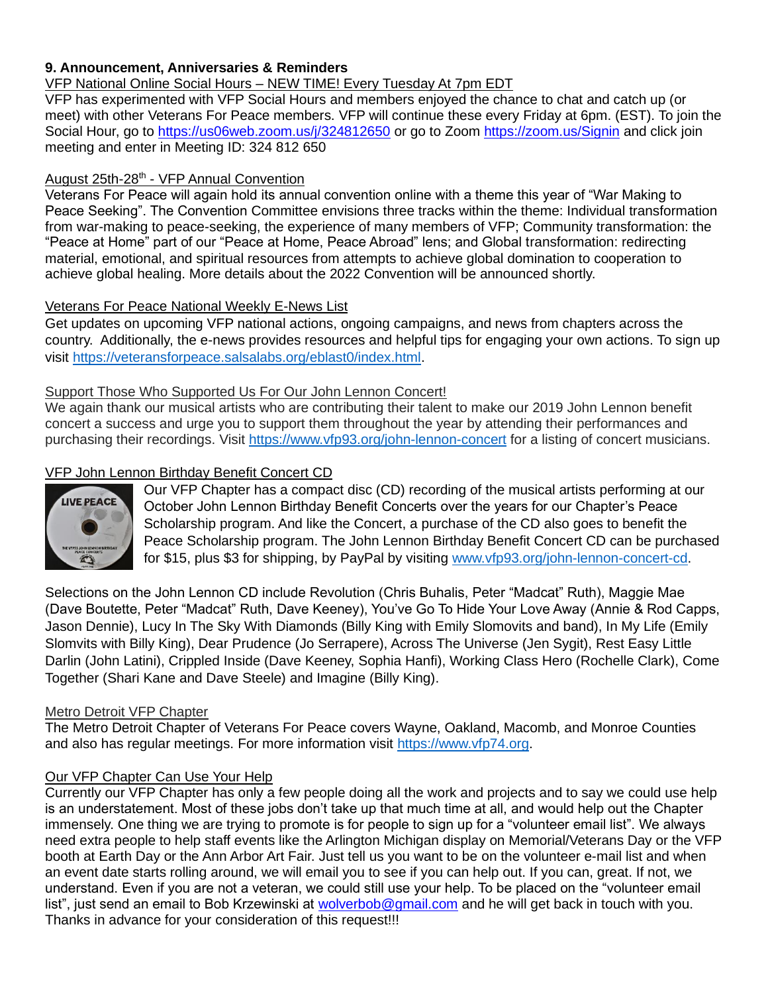## **9. Announcement, Anniversaries & Reminders**

VFP National Online Social Hours – NEW TIME! Every Tuesday At 7pm EDT

VFP has experimented with VFP Social Hours and members enjoyed the chance to chat and catch up (or meet) with other Veterans For Peace members. VFP will continue these every Friday at 6pm. (EST). To join the Social Hour, go to<https://us06web.zoom.us/j/324812650> or go to Zoom<https://zoom.us/Signin> and click join meeting and enter in Meeting ID: 324 812 650

## August 25th-28<sup>th</sup> - VFP Annual Convention

Veterans For Peace will again hold its annual convention online with a theme this year of "War Making to Peace Seeking". The Convention Committee envisions three tracks within the theme: Individual transformation from war-making to peace-seeking, the experience of many members of VFP; Community transformation: the "Peace at Home" part of our "Peace at Home, Peace Abroad" lens; and Global transformation: redirecting material, emotional, and spiritual resources from attempts to achieve global domination to cooperation to achieve global healing. More details about the 2022 Convention will be announced shortly.

## Veterans For Peace National Weekly E-News List

Get updates on upcoming VFP national actions, ongoing campaigns, and news from chapters across the country. Additionally, the e-news provides resources and helpful tips for engaging your own actions. To sign up visit [https://veteransforpeace.salsalabs.org/eblast0/index.html.](https://veteransforpeace.salsalabs.org/eblast0/index.html)

## Support Those Who Supported Us For Our John Lennon Concert!

We again thank our musical artists who are contributing their talent to make our 2019 John Lennon benefit concert a success and urge you to support them throughout the year by attending their performances and purchasing their recordings. Visit<https://www.vfp93.org/john-lennon-concert> for a listing of concert musicians.

# VFP John Lennon Birthday Benefit Concert CD



Our VFP Chapter has a compact disc (CD) recording of the musical artists performing at our October John Lennon Birthday Benefit Concerts over the years for our Chapter's Peace Scholarship program. And like the Concert, a purchase of the CD also goes to benefit the Peace Scholarship program. The John Lennon Birthday Benefit Concert CD can be purchased for \$15, plus \$3 for shipping, by PayPal by visiting [www.vfp93.org/john-lennon-concert-cd.](http://www.vfp93.org/john-lennon-concert-cd)

Selections on the John Lennon CD include Revolution (Chris Buhalis, Peter "Madcat" Ruth), Maggie Mae (Dave Boutette, Peter "Madcat" Ruth, Dave Keeney), You've Go To Hide Your Love Away (Annie & Rod Capps, Jason Dennie), Lucy In The Sky With Diamonds (Billy King with Emily Slomovits and band), In My Life (Emily Slomvits with Billy King), Dear Prudence (Jo Serrapere), Across The Universe (Jen Sygit), Rest Easy Little Darlin (John Latini), Crippled Inside (Dave Keeney, Sophia Hanfi), Working Class Hero (Rochelle Clark), Come Together (Shari Kane and Dave Steele) and Imagine (Billy King).

#### Metro Detroit VFP Chapter

The Metro Detroit Chapter of Veterans For Peace covers Wayne, Oakland, Macomb, and Monroe Counties and also has regular meetings. For more information visit [https://www.vfp74.org.](https://www.vfp74.org/)

#### Our VFP Chapter Can Use Your Help

Currently our VFP Chapter has only a few people doing all the work and projects and to say we could use help is an understatement. Most of these jobs don't take up that much time at all, and would help out the Chapter immensely. One thing we are trying to promote is for people to sign up for a "volunteer email list". We always need extra people to help staff events like the Arlington Michigan display on Memorial/Veterans Day or the VFP booth at Earth Day or the Ann Arbor Art Fair. Just tell us you want to be on the volunteer e-mail list and when an event date starts rolling around, we will email you to see if you can help out. If you can, great. If not, we understand. Even if you are not a veteran, we could still use your help. To be placed on the "volunteer email list", just send an email to Bob Krzewinski at [wolverbob@gmail.com](mailto:wolverbob@gmail.com) and he will get back in touch with you. Thanks in advance for your consideration of this request!!!